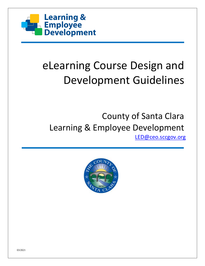

# eLearning Course Design and Development Guidelines

# County of Santa Clara Learning & Employee Development [LED@ceo.sccgov.org](mailto:LED@ceo.sccgov.org)

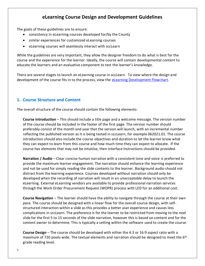## **eLearning Course Design and Development Guidelines**

The goals of these guidelines are to ensure:

- consistency in eLearning courses developed for/by the County
- similar experiences for customized eLearning courses
- eLearning courses will seamlessly interact with sccLearn

While the guidelines are very important, they allow the designer freedom to do what is best for the course and the experience for the learner. Ideally, the course will contain developmental content to educate the learners and an evaluative component to test the learner's knowledge.

There are several stages to launch an eLearning course in sccLearn. To view where the design and development of the course fits in to the process, view the elearning Development Flowchart.

#### **1. Course Structure and Content**

The overall structure of the course should contain the following elements:

**Course Introduction** – This should include a title page and a welcome message. The version number of the course should be included in the footer of the first page. The version number should preferably consist of the month and year that the version will launch, with an incremental number reflecting the published version as it is being tested in sccLearn, for example 062021.01. The course introduction should also include the course objectives and duration to let the learner know what they can expect to learn from this course and how much time they can expect to allocate. If the course has elements that may not be intuitive, then interface instructions should be provided.

**Narration / Audio** – Clear concise human narration with a consistent tone and voice is preferred to provide the maximum learner engagement. The narration should enhance the learning experience and not be used for simply reading the slide contents to the learner. Background audio should not distract from the learning experience. Courses developed without narration should only be developed when the recording of narration will result in an unacceptable delay to launch the eLearning. External eLearning vendors are available to provide professional narration services through the Work Order Procurement Request (WOPR) process with LED for an additional cost.

**Course Navigation** – The learner should have the ability to navigate through the course at their own pace. The course should be designed with a linear flow for the overall course design, with selfstructured interaction within a slide as this provides a better user experience and causes less complications in sccLearn. The preference is for the learner to be restricted from moving to the next slide for the first 5 to 15 seconds of the slide narration, however this is based on content and for the content owner to determine. This is typically a setting within the software used to create the course.

**Course Design** – The course should be developed with either the 4:3 or 16:9 aspect ratio with a maximum of 720 pixels wide. The textual elements and narration should be designed to meet the  $6<sup>th</sup>$ grade reading level.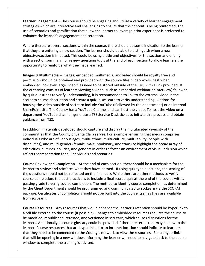**Learner Engagement –** The course should be engaging and utilize a variety of learner engagement strategies which are interactive and challenging to ensure that the content is being reinforced. The use of scenarios and gamification that allow the learner to leverage prior experience is preferred to enhance the learner's engagement and retention.

Where there are several sections within the course, there should be some indication to the learner that they are entering a new section. The learner should be able to distinguish when a new objective/section is initiated. This could be using a title and objectives for the section and ending with a section summary, or review questions/quiz at the end of each section to allow learners the opportunity to reinforce what they have learned.

**Images & Multimedia –** Images, embedded multimedia, and video should be royalty free and permission should be obtained and provided with the source files. Video works best when embedded, however large video files need to be stored outside of the LMS with a link provided. If the eLearning consists of learners viewing a video (such as a recorded webinar or interview) followed by quiz questions to verify understanding, it is recommended to link to the external video in the sccLearn course description and create a quiz in sccLearn to verify understanding. Options for housing the video outside of sccLearn include YouTube (if allowed by the department) or an internal SharePoint site. The County has a YouTube Channel and can host the video. To host the video on a department YouTube channel, generate a TSS Service Desk ticket to initiate this process and obtain guidance from TSS.

In addition, materials developed should capture and display the multifaceted diversity of the communities that the County of Santa Clara serves. For example: ensuring that media comprises individuals who are of various ages, multi-ethnic, multi-culture, multi-ability (people with disabilities), and multi-gender (female, male, nonbinary, and trans) to highlight the broad array of ethnicities, cultures, abilities, and genders in order to foster an environment of visual inclusion which reflects representation for all individuals and scenarios.

**Course Review and Completion** – At the end of each section, there should be a mechanism for the learner to review and reinforce what they have learned. If using quiz type questions, the scoring of the questions should not be reflected on the final quiz. While there are other methods to verify course completion, the best practice is to include a final scored quiz at the end of the course with a passing grade to verify course completion. The method to identify course completion, as determined by the Client Department should be programmed and communicated to sccLearn via the SCORM package. Certificates of completion should **not** be built into the course itself as they are available from sccLearn.

**Course Resources** – Any resources that would enhance the learner's retention should be hyperlink to a pdf file external to the course (if possible). Changes to embedded resources requires the course to be modified, republished, retested, and versioned in sccLearn, which causes disruptions for the learners. Additionally, a course glossary could be provided if there are terms that may be new to the learner. Course resources that are hyperlinked to an intranet location should indicate to learners that they need to be connected to the County's network to view the resources. For all hyperlinks that will be opening in a new window, informing the learner will need to navigate back to the course window to complete the training is advised.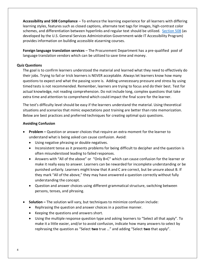**Accessibility and 508 Compliance** – To enhance the learning experience for all learners with differing learning styles, features such as closed captions, alternate text tags for images, high-contrast color schemes, and differentiation between hyperlinks and regular text should be utilized. [Section 508](https://www.section508.gov/) (as developed by the U.S. General Services Administration Government-wide IT Accessibility Program) provides information on building accessible eLearning courses.

**Foreign language translation services** – The Procurement Department has a pre-qualified pool of language translation vendors which can be utilized to save time and money.

#### **Quiz Questions**

The goal is to confirm learners understood the material and learned what they need to effectively do their jobs. Trying to fail or trick learners is NEVER acceptable. Always let learners know how many questions to expect and what the passing score is. Adding unnecessary pressure and stress by using timed tests is not recommended. Remember, learners are trying to focus and do their best. Test for actual knowledge, not reading comprehension. Do not include long, complex questions that take extra time and attention to comprehend which could impact the final score for the learner.

The test's difficulty level should be easy if the learners understand the material. Using theoretical situations and scenarios that mimic expectations post training are better than rote memorization. Below are best practices and preferred techniques for creating optimal quiz questions.

#### **Avoiding Confusion**

- **Problem –** Question or answer choices that require an extra moment for the learner to understand what is being asked can cause confusion. Avoid:
	- Using negative phrasing or double negatives.
	- Inconsistent tense as it presents problems for being difficult to decipher and the question is often misunderstood leading to failed responses.
	- Answers with "All of the above" or "Only B+C" which can cause confusion for the learner or make it really easy to answer. Learners can be rewarded for incomplete understanding or be punished unfairly. Learners might know that A and C are correct, but be unsure about B. If they mark "All of the above," they may have answered a question correctly without fully understanding the concept.
	- Question and answer choices using different grammatical structure, switching between persons, tenses, and phrasing.
- **Solution –** The solution will vary, but techniques to minimize confusion include:
	- Rephrasing the question and answer choices in a positive manner.
	- Keeping the questions and answers short.
	- Using the multiple response question type and asking learners to "Select all that apply". To make it a little easier, and/or to avoid confusion, indicate how many answers to select by rephrasing the question as "Select **two** true …" and adding "Select **two** that apply".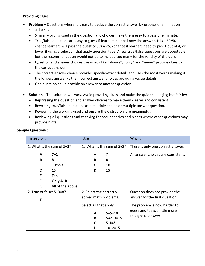#### **Providing Clues**

- **Problem –** Questions where it is easy to deduce the correct answer by process of elimination should be avoided.
	- Similar wording used in the question and choices make them easy to guess or eliminate.
	- True/false questions are easy to guess if learners do not know the answer. It is a 50/50 chance learners will pass the question, vs a 25% chance if learners need to pick 1 out of 4, or lower if using a select all that apply question type. A few true/false questions are acceptable, but the recommendation would not be to include too many for the validity of the quiz.
	- Question and answer choices use words like "always", "only" and "never" provide clues to the correct answer.
	- The correct answer choice provides specific/exact details and uses the most words making it the longest answer vs the incorrect answer choices providing vague details.
	- One question could provide an answer to another question.
- **Solution**  The solution will vary. Avoid providing clues and make the quiz challenging but fair by:
	- Rephrasing the question and answer choices to make them clearer and consistent.
	- Rewriting true/false questions as a multiple choice or multiple answer question.
	- Reviewing the wording used and ensure the distractors are meaningful.
	- Reviewing all questions and checking for redundancies and places where other questions may provide hints.

| Instead of                 |                  | Use                        |              | Why $\ldots$                       |
|----------------------------|------------------|----------------------------|--------------|------------------------------------|
| 1. What is the sum of 5+3? |                  | 1. What is the sum of 5+3? |              | There is only one correct answer.  |
| A                          | $7 + 1$          | A                          | 7            | All answer choices are consistent. |
| B                          | 8                | B                          | 8            |                                    |
| $\mathsf{C}$               | $10*2-3$         | C                          | 10           |                                    |
| D                          | 15               | D                          | 15           |                                    |
| E                          | Ten              |                            |              |                                    |
| F                          | Only A+B         |                            |              |                                    |
| G                          | All of the above |                            |              |                                    |
| 2. True or false: 5+3=8?   |                  | 2. Select the correctly    |              | Question does not provide the      |
| Т                          |                  | solved math problems.      |              | answer for the first question.     |
| F                          |                  | Select all that apply.     |              | The problem is now harder to       |
|                            |                  | A                          | $5 + 5 = 10$ | guess and takes a little more      |
|                            |                  | B                          | $5X2+3=15$   | thought to answer.                 |
|                            |                  | C                          | $5 - 3 = 2$  |                                    |
|                            |                  | D                          | $10+2=15$    |                                    |

#### **Sample Questions:**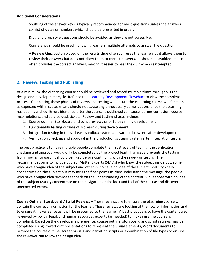#### **Additional Considerations**

Shuffling of the answer keys is typically recommended for most questions unless the answers consist of dates or numbers which should be presented in order.

Drag and drop style questions should be avoided as they are not accessible.

Consistency should be used if allowing learners multiple attempts to answer the question.

A **Review Quiz** button placed on the results slide often confuses the learners as it allows them to review their answers but does not allow them to correct answers, so should be avoided. It also often provides the correct answers, making it easier to pass the quiz when reattempted.

### **2. Review, Testing and Publishing**

At a minimum, the eLearning course should be reviewed and tested multiple times throughout the design and development cycle. Refer to the [eLearning Development Flowchart](https://www.sccgov.org/sites/led/Documents/AgencyServices/eLearningDevelopmentFlowchart.pdf) to view the complete process. Completing these phases of reviews and testing will ensure the eLearning course will function as expected within sccLearn and should not cause any unnecessary complications once the eLearning has been launched. Errors identified after the course is published can cause learner confusion, course incompletions, and service desk tickets. Review and testing phases include:

- 1. Course outline, Storyboard and script reviews prior to beginning development
- 2. Functionality testing outside of sccLearn during development
- 3. Integration testing in the sccLearn sandbox system and various browsers after development
- 4. Verification checking and approval in the production sccLearn system after integration testing

The best practice is to have multiple people complete the first 3 levels of testing; the verification checking and approval would only be completed by the project lead. If an issue prevents the testing from moving forward, it should be fixed before continuing with the review or testing. The recommendation is to include Subject Matter Experts (SME's) who know the subject inside out, some who have a vague idea of the subject and others who have no idea of the subject. SMEs typically concentrate on the subject but may miss the finer points as they understand the message, the people who have a vague idea provide feedback on the understanding of the content, while those with no idea of the subject usually concentrate on the navigation or the look and feel of the course and discover unexpected errors.

**Course Outline, Storyboard / Script Reviews –** These reviews are to ensure the eLearning course will contain the correct information for the learner. These reviews are looking at the flow of information and to ensure it makes sense as it will be presented to the learner. A best practice is to have the content also reviewed by policy, legal, and human resources experts (as needed) to make sure the course is compliant. Based on the developer's preference, course outline, storyboard and script reviews may be completed using PowerPoint presentations to represent the visual elements, Word documents to provide the course outline, screen visuals and narration scripts or a combination of file types to ensure the reviewer can follow the design idea.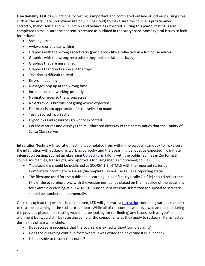**Functionality Testing–** Functionality testing is important and completed outside of sccLearn (using sites such as the Articulate 360 review site or SCORM cloud) to make sure the course is programmed correctly, makes sense and will function and behave as expected. During this phase, testing is also completed to make sure the content is created as outlined in the storyboard. Some typical issues to look for include:

- Spelling errors
- Awkward or unclear writing
- Graphics with the wrong aspect ratio (people look like a reflection in a fun house mirror)
- Graphics with the wrong resolution (they look pixelated or fuzzy)
- Graphics that are misaligned
- Graphics that don't represent the topic
- Text that is difficult to read
- Errors in labelling
- Messages pop up at the wrong time
- Interactions not working properly
- Navigation goes to the wrong screen
- Next/Previous buttons not going where expected
- Feedback is not appropriate for the selection made
- Test is scored incorrectly
- Hyperlinks and resources go where expected
- Course captures and displays the multifaceted diversity of the communities that the County of Santa Clara serves

**Integration Testing –** Integration testing is completed from within the sccLearn sandbox to make sure the integration with sccLearn is working correctly and the eLearning behaves as expected. To initiate integration testing, submit an eLearning [Upload Form](https://www.sccgov.org/sites/led/Documents/AgencyServices/eLearningUploadRequestForm.pdf) (along with the published files in Zip format), course source files, transcripts, and approvals for using media (if obtained) to LED.

- The eLearning should be published as SCORM 1.2, HTML5 with the reported status as Completed/Incomplete or Passed/Incomplete. Do not use Fail as a reporting status.
- The filename used for the published eLearning upload files (typically Zip file) should reflect the title of the eLearning along with the version number as placed on the first slide of the eLearning, for example eLearningTitle-062021.01. Subsequent versions submitted for upload to sccLearn should be numbered incrementally.

Once this upload request has been received, LED will generate a [test script](https://www.sccgov.org/sites/led/Documents/AgencyServices/eLearningIntegrationTestScript.pdf) containing various scenarios to test the eLearning in the sccLearn sandbox. While all of the content was reviewed and tested during the previous phases, this testing would not be looking for (or finding) any issues such as typo's or alignment but would still be retesting some of the components as they apply to sccLearn. Items tested during this phase will include:

- Does sccLearn recognize that the course was exited without completing it?
- Does the eLearning continue from where it was exited the next time it is launched?
- Is it possible to restart the course?